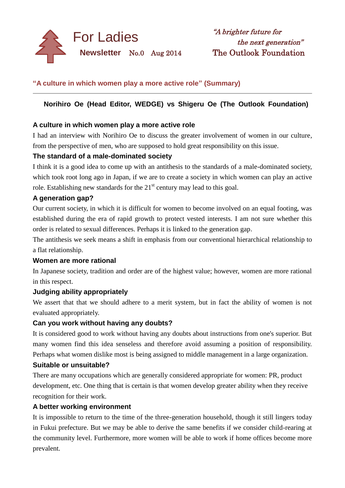

# **"A culture in which women play a more active role" (Summary)**

# **Norihiro Oe (Head Editor, WEDGE) vs Shigeru Oe (The Outlook Foundation)**

### **A culture in which women play a more active role**

I had an interview with Norihiro Oe to discuss the greater involvement of women in our culture*,* from the perspective of men, who are supposed to hold great responsibility on this issue.

### **The standard of a male-dominated society**

I think it is a good idea to come up with an antithesis to the standards of a male-dominated society, which took root long ago in Japan, if we are to create a society in which women can play an active role. Establishing new standards for the  $21<sup>st</sup>$  century may lead to this goal.

### **A generation gap?**

Our current society, in which it is difficult for women to become involved on an equal footing, was established during the era of rapid growth to protect vested interests. I am not sure whether this order is related to sexual differences. Perhaps it is linked to the generation gap.

The antithesis we seek means a shift in emphasis from our conventional hierarchical relationship to a flat relationship.

### **Women are more rational**

In Japanese society, tradition and order are of the highest value; however, women are more rational in this respect.

## **Judging ability appropriately**

We assert that that we should adhere to a merit system*,* but in fact the ability of women is not evaluated appropriately.

### **Can you work without having any doubts?**

It is considered good to work without having any doubts about instructions from one's superior. But many women find this idea senseless and therefore avoid assuming a position of responsibility. Perhaps what women dislike most is being assigned to middle management in a large organization.

### **Suitable or unsuitable?**

There are many occupations which are generally considered appropriate for women: PR, product development, etc. One thing that is certain is that women develop greater ability when they receive recognition for their work.

### **A better working environment**

It is impossible to return to the time of the three-generation household, though it still lingers today in Fukui prefecture. But we may be able to derive the same benefits if we consider child-rearing at the community level. Furthermore, more women will be able to work if home offices become more prevalent.